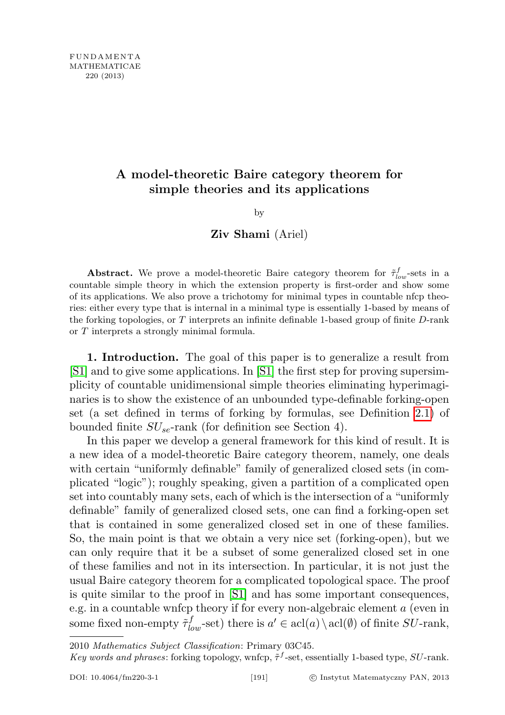# A model-theoretic Baire category theorem for simple theories and its applications

### by

## Ziv Shami (Ariel)

**Abstract.** We prove a model-theoretic Baire category theorem for  $\tilde{\tau}_{low}^f$ -sets in a countable simple theory in which the extension property is first-order and show some of its applications. We also prove a trichotomy for minimal types in countable nfcp theories: either every type that is internal in a minimal type is essentially 1-based by means of the forking topologies, or  $T$  interprets an infinite definable 1-based group of finite  $D$ -rank or T interprets a strongly minimal formula.

1. Introduction. The goal of this paper is to generalize a result from [\[S1\]](#page-14-0) and to give some applications. In [\[S1\]](#page-14-0) the first step for proving supersimplicity of countable unidimensional simple theories eliminating hyperimaginaries is to show the existence of an unbounded type-definable forking-open set (a set defined in terms of forking by formulas, see Definition [2.1\)](#page-1-0) of bounded finite  $SU_{se}$ -rank (for definition see Section 4).

In this paper we develop a general framework for this kind of result. It is a new idea of a model-theoretic Baire category theorem, namely, one deals with certain "uniformly definable" family of generalized closed sets (in complicated "logic"); roughly speaking, given a partition of a complicated open set into countably many sets, each of which is the intersection of a "uniformly definable" family of generalized closed sets, one can find a forking-open set that is contained in some generalized closed set in one of these families. So, the main point is that we obtain a very nice set (forking-open), but we can only require that it be a subset of some generalized closed set in one of these families and not in its intersection. In particular, it is not just the usual Baire category theorem for a complicated topological space. The proof is quite similar to the proof in [\[S1\]](#page-14-0) and has some important consequences, e.g. in a countable wnfcp theory if for every non-algebraic element a (even in some fixed non-empty  $\tilde{\tau}_{low}^f$ -set) there is  $a' \in \text{acl}(a) \setminus \text{acl}(\emptyset)$  of finite  $SU$ -rank,

<sup>2010</sup> Mathematics Subject Classification: Primary 03C45.

Key words and phrases: forking topology, wnfcp,  $\tilde{\tau}^f$ -set, essentially 1-based type, SU-rank.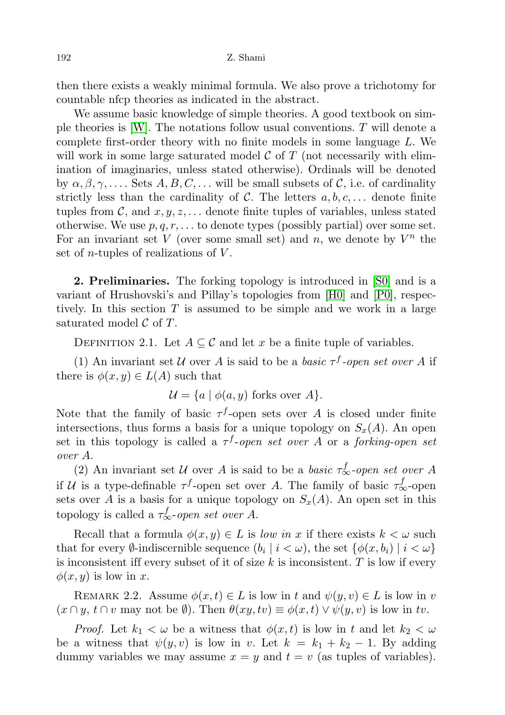then there exists a weakly minimal formula. We also prove a trichotomy for countable nfcp theories as indicated in the abstract.

We assume basic knowledge of simple theories. A good textbook on simple theories is  $[W]$ . The notations follow usual conventions. T will denote a complete first-order theory with no finite models in some language L. We will work in some large saturated model  $\mathcal C$  of  $T$  (not necessarily with elimination of imaginaries, unless stated otherwise). Ordinals will be denoted by  $\alpha, \beta, \gamma, \ldots$  Sets  $A, B, C, \ldots$  will be small subsets of C, i.e. of cardinality strictly less than the cardinality of C. The letters  $a, b, c, \ldots$  denote finite tuples from C, and  $x, y, z, \ldots$  denote finite tuples of variables, unless stated otherwise. We use  $p, q, r, \ldots$  to denote types (possibly partial) over some set. For an invariant set V (over some small set) and n, we denote by  $V^n$  the set of *n*-tuples of realizations of  $V$ .

2. Preliminaries. The forking topology is introduced in [\[S0\]](#page-14-1) and is a variant of Hrushovski's and Pillay's topologies from [\[H0\]](#page-14-2) and [\[P0\]](#page-14-3), respectively. In this section  $T$  is assumed to be simple and we work in a large saturated model  $\mathcal C$  of  $T$ .

<span id="page-1-0"></span>DEFINITION 2.1. Let  $A \subseteq \mathcal{C}$  and let x be a finite tuple of variables.

(1) An invariant set U over A is said to be a basic  $\tau^f$ -open set over A if there is  $\phi(x, y) \in L(A)$  such that

 $\mathcal{U} = \{a \mid \phi(a, y) \text{ forks over } A\}.$ 

Note that the family of basic  $\tau^f$ -open sets over A is closed under finite intersections, thus forms a basis for a unique topology on  $S_x(A)$ . An open set in this topology is called a  $\tau^f$ -open set over A or a forking-open set over A.

(2) An invariant set U over A is said to be a basic  $\tau_{\infty}^{f}$ -open set over A if U is a type-definable  $\tau^f$ -open set over A. The family of basic  $\tau^f_{\infty}$ -open sets over A is a basis for a unique topology on  $S_x(A)$ . An open set in this topology is called a  $\tau_{\infty}^{f}$ -open set over A.

Recall that a formula  $\phi(x, y) \in L$  is low in x if there exists  $k < \omega$  such that for every  $\emptyset$ -indiscernible sequence  $(b_i | i < \omega)$ , the set  $\{\phi(x, b_i) | i < \omega\}$ is inconsistent iff every subset of it of size  $k$  is inconsistent.  $T$  is low if every  $\phi(x, y)$  is low in x.

<span id="page-1-1"></span>REMARK 2.2. Assume  $\phi(x, t) \in L$  is low in t and  $\psi(y, v) \in L$  is low in v  $(x \cap y, t \cap v$  may not be  $\emptyset$ . Then  $\theta(xy, tv) \equiv \phi(x, t) \vee \psi(y, v)$  is low in tv.

*Proof.* Let  $k_1 < \omega$  be a witness that  $\phi(x, t)$  is low in t and let  $k_2 < \omega$ be a witness that  $\psi(y, v)$  is low in v. Let  $k = k_1 + k_2 - 1$ . By adding dummy variables we may assume  $x = y$  and  $t = v$  (as tuples of variables).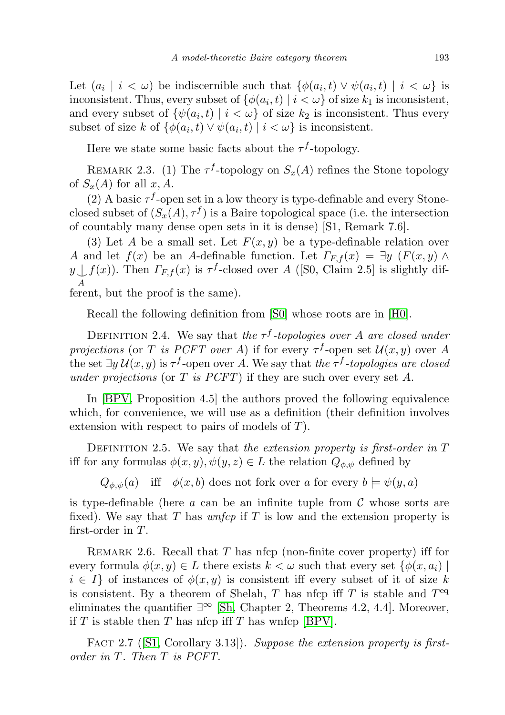Let  $(a_i \mid i < \omega)$  be indiscernible such that  $\{\phi(a_i, t) \lor \psi(a_i, t) \mid i < \omega\}$  is inconsistent. Thus, every subset of  $\{\phi(a_i, t) \mid i < \omega\}$  of size  $k_1$  is inconsistent, and every subset of  $\{\psi(a_i, t) \mid i < \omega\}$  of size  $k_2$  is inconsistent. Thus every subset of size k of  $\{\phi(a_i, t) \lor \psi(a_i, t) \mid i < \omega\}$  is inconsistent.

Here we state some basic facts about the  $\tau^f$ -topology.

<span id="page-2-0"></span>REMARK 2.3. (1) The  $\tau^f$ -topology on  $S_x(A)$  refines the Stone topology of  $S_x(A)$  for all x, A.

(2) A basic  $\tau^f$ -open set in a low theory is type-definable and every Stoneclosed subset of  $(S_x(A), \tau^f)$  is a Baire topological space (i.e. the intersection of countably many dense open sets in it is dense) [S1, Remark 7.6].

(3) Let A be a small set. Let  $F(x, y)$  be a type-definable relation over A and let  $f(x)$  be an A-definable function. Let  $\Gamma_{F,f}(x) = \exists y \ (F(x,y) \land$  $y\bigcup f(x)$ ). Then  $\Gamma_{F,f}(x)$  is  $\tau^f$ -closed over A ([S0, Claim 2.5] is slightly dif-A ferent, but the proof is the same).

Recall the following definition from [\[S0\]](#page-14-1) whose roots are in [\[H0\]](#page-14-2).

DEFINITION 2.4. We say that the  $\tau^f$ -topologies over A are closed under projections (or T is PCFT over A) if for every  $\tau^f$ -open set  $\mathcal{U}(x, y)$  over A the set  $\exists y \, \mathcal{U}(x, y)$  is  $\tau^f$ -open over A. We say that the  $\tau^f$ -topologies are closed under projections (or T is  $PCFT$ ) if they are such over every set A.

In [\[BPV,](#page-14-4) Proposition 4.5] the authors proved the following equivalence which, for convenience, we will use as a definition (their definition involves extension with respect to pairs of models of T).

DEFINITION 2.5. We say that the extension property is first-order in  $T$ iff for any formulas  $\phi(x,y), \psi(y,z) \in L$  the relation  $Q_{\phi, \psi}$  defined by

 $Q_{\phi,\psi}(a)$  iff  $\phi(x,b)$  does not fork over a for every  $b \models \psi(y,a)$ 

is type-definable (here  $\alpha$  can be an infinite tuple from  $\mathcal C$  whose sorts are fixed). We say that T has *wnfcp* if T is low and the extension property is first-order in T.

REMARK 2.6. Recall that  $T$  has nfcp (non-finite cover property) iff for every formula  $\phi(x, y) \in L$  there exists  $k < \omega$  such that every set  $\{\phi(x, a_i)\}\$  $i \in I$  of instances of  $\phi(x, y)$  is consistent iff every subset of it of size k is consistent. By a theorem of Shelah, T has nfcp iff T is stable and  $T<sup>eq</sup>$ eliminates the quantifier  $\exists^{\infty}$  [\[Sh,](#page-15-1) Chapter 2, Theorems 4.2, 4.4]. Moreover, if T is stable then T has nfcp iff T has wnfcp [\[BPV\]](#page-14-4).

<span id="page-2-1"></span>FACT 2.7 ( $[S1, Corollary 3.13]$  $[S1, Corollary 3.13]$ ). Suppose the extension property is firstorder in T. Then T is PCFT.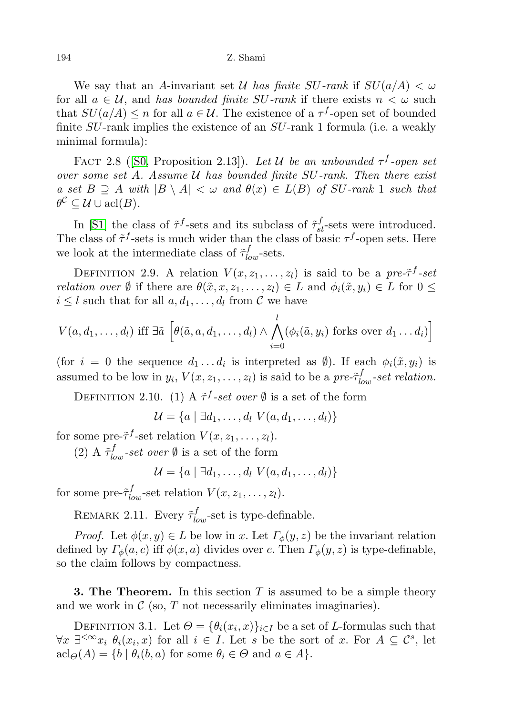#### 194 Z. Shami

We say that an A-invariant set U has finite SU-rank if  $SU(a/A) < \omega$ for all  $a \in \mathcal{U}$ , and has bounded finite SU-rank if there exists  $n < \omega$  such that  $SU(a/A) \leq n$  for all  $a \in \mathcal{U}$ . The existence of a  $\tau^f$ -open set of bounded finite SU-rank implies the existence of an SU-rank 1 formula (i.e. a weakly minimal formula):

<span id="page-3-1"></span>FACT 2.8 ([\[S0,](#page-14-1) Proposition 2.13]). Let U be an unbounded  $\tau^f$ -open set over some set A. Assume  $U$  has bounded finite  $SU$ -rank. Then there exist a set  $B \supseteq A$  with  $|B \setminus A| < \omega$  and  $\theta(x) \in L(B)$  of SU-rank 1 such that  $\theta^{\mathcal{C}} \subseteq \mathcal{U} \cup \operatorname{acl}(B).$ 

In [\[S1\]](#page-14-0) the class of  $\tilde{\tau}^f$ -sets and its subclass of  $\tilde{\tau}_{st}^f$ -sets were introduced. The class of  $\tilde{\tau}^f$ -sets is much wider than the class of basic  $\tau^f$ -open sets. Here we look at the intermediate class of  $\tilde{\tau}_{low}^{f}$ -sets.

DEFINITION 2.9. A relation  $V(x, z_1, \ldots, z_l)$  is said to be a pre- $\tilde{\tau}^f$ -set *relation over*  $\emptyset$  if there are  $\theta(\tilde{x}, x, z_1, \ldots, z_l) \in L$  and  $\phi_i(\tilde{x}, y_i) \in L$  for  $0 \leq$  $i \leq l$  such that for all  $a, d_1, \ldots, d_l$  from  $\mathcal C$  we have

$$
V(a, d_1, \ldots, d_l) \text{ iff } \exists \tilde{a} \left[ \theta(\tilde{a}, a, d_1, \ldots, d_l) \wedge \bigwedge_{i=0}^l (\phi_i(\tilde{a}, y_i) \text{ forks over } d_1 \ldots d_i) \right]
$$

(for  $i = 0$  the sequence  $d_1 \dots d_i$  is interpreted as  $\emptyset$ ). If each  $\phi_i(\tilde{x}, y_i)$  is assumed to be low in  $y_i$ ,  $V(x, z_1, \ldots, z_l)$  is said to be a pre- $\tilde{\tau}_{low}^f$ -set relation.

DEFINITION 2.10. (1) A  $\tilde{\tau}^f$ -set over  $\emptyset$  is a set of the form

 $\mathcal{U} = \{a \mid \exists d_1, \ldots, d_l \; V(a, d_1, \ldots, d_l)\}\$ 

for some pre- $\tilde{\tau}^f$ -set relation  $V(x, z_1, \ldots, z_l)$ .

(2) A  $\tilde{\tau}_{low}^f$ -set over  $\emptyset$  is a set of the form

 $\mathcal{U} = \{a \mid \exists d_1, \ldots, d_l \; V(a, d_1, \ldots, d_l)\}\$ 

for some pre- $\tilde{\tau}_{low}^f$ -set relation  $V(x, z_1, \ldots, z_l)$ .

<span id="page-3-0"></span>REMARK 2.11. Every  $\tilde{\tau}_{low}^f$ -set is type-definable.

*Proof.* Let  $\phi(x, y) \in L$  be low in x. Let  $\Gamma_{\phi}(y, z)$  be the invariant relation defined by  $\Gamma_{\phi}(a, c)$  iff  $\phi(x, a)$  divides over c. Then  $\Gamma_{\phi}(y, z)$  is type-definable, so the claim follows by compactness.

**3. The Theorem.** In this section T is assumed to be a simple theory and we work in  $\mathcal C$  (so,  $T$  not necessarily eliminates imaginaries).

DEFINITION 3.1. Let  $\Theta = {\theta_i(x_i, x)}_{i \in I}$  be a set of *L*-formulas such that  $\forall x \; \exists^{\leq \infty} x_i \; \theta_i(x_i, x)$  for all  $i \in I$ . Let s be the sort of x. For  $A \subseteq \mathcal{C}^s$ , let  $\operatorname{acl}_{\Theta}(A) = \{b \mid \theta_i(b, a) \text{ for some } \theta_i \in \Theta \text{ and } a \in A\}.$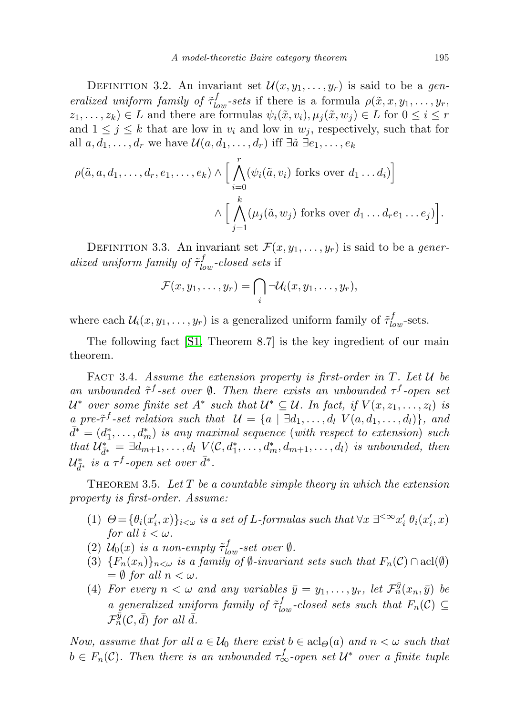DEFINITION 3.2. An invariant set  $\mathcal{U}(x, y_1, \ldots, y_r)$  is said to be a generalized uniform family of  $\tilde{\tau}_{low}^f$ -sets if there is a formula  $\rho(\tilde{x}, x, y_1, \ldots, y_r)$  $z_1, \ldots, z_k) \in L$  and there are formulas  $\psi_i(\tilde{x}, v_i), \mu_i(\tilde{x}, w_i) \in L$  for  $0 \leq i \leq r$ and  $1 \leq j \leq k$  that are low in  $v_i$  and low in  $w_j$ , respectively, such that for all  $a, d_1, \ldots, d_r$  we have  $\mathcal{U}(a, d_1, \ldots, d_r)$  iff  $\exists \tilde{a} \exists e_1, \ldots, e_k$ 

$$
\rho(\tilde{a}, a, d_1, \ldots, d_r, e_1, \ldots, e_k) \wedge \Big[ \bigwedge_{i=0}^r (\psi_i(\tilde{a}, v_i) \text{ forks over } d_1 \ldots d_i) \Big] \newline \wedge \Big[ \bigwedge_{j=1}^k (\mu_j(\tilde{a}, w_j) \text{ forks over } d_1 \ldots d_r e_1 \ldots e_j) \Big].
$$

DEFINITION 3.3. An invariant set  $\mathcal{F}(x, y_1, \ldots, y_r)$  is said to be a generalized uniform family of  $\tilde{\tau}_{low}^f$ -closed sets if

$$
\mathcal{F}(x,y_1,\ldots,y_r)=\bigcap_i\lnot\mathcal{U}_i(x,y_1,\ldots,y_r),
$$

where each  $\mathcal{U}_i(x, y_1, \dots, y_r)$  is a generalized uniform family of  $\tilde{\tau}_{low}^f$ -sets.

The following fact [\[S1,](#page-14-0) Theorem 8.7] is the key ingredient of our main theorem.

<span id="page-4-0"></span>FACT 3.4. Assume the extension property is first-order in  $T$ . Let  $\mathcal U$  be an unbounded  $\tilde{\tau}^f$ -set over  $\emptyset$ . Then there exists an unbounded  $\tau^f$ -open set  $\mathcal{U}^*$  over some finite set  $A^*$  such that  $\mathcal{U}^* \subseteq \mathcal{U}$ . In fact, if  $V(x, z_1, \ldots, z_l)$  is a pre- $\tilde{\tau}^f$ -set relation such that  $\mathcal{U} = \{a \mid \exists d_1, \ldots, d_l \; V(a, d_1, \ldots, d_l)\},\;$ and  $\bar{d}^* = (d_1^*, \ldots, d_m^*)$  is any maximal sequence (with respect to extension) such that  $\mathcal{U}^*_{\bar{d}^*} = \exists d_{m+1}, \ldots, d_l \ V(\mathcal{C}, d^*_1, \ldots, d^*_m, d_{m+1}, \ldots, d_l)$  is unbounded, then  $\mathcal{U}^*_{\bar{d}^*}$  is a  $\tau^f$ -open set over  $\bar{d}^*.$ 

<span id="page-4-1"></span>THEOREM 3.5. Let  $T$  be a countable simple theory in which the extension property is first-order. Assume:

- (1)  $\Theta = {\theta_i(x'_i, x)}_{i < \omega}$  is a set of L-formulas such that  $\forall x \exists^{\leq \infty} x'_i \theta_i(x'_i, x)$ for all  $i < \omega$ .
- (2)  $\mathcal{U}_0(x)$  is a non-empty  $\tilde{\tau}_{low}^f$ -set over  $\emptyset$ .
- (3)  ${F_n(x_n)}_{n<\omega}$  is a family of  $\emptyset$ -invariant sets such that  $F_n(\mathcal{C}) \cap \text{acl}(\emptyset)$  $=\emptyset$  for all  $n < \omega$ .
- (4) For every  $n < \omega$  and any variables  $\bar{y} = y_1, \ldots, y_r$ , let  $\mathcal{F}_n^{\bar{y}}(x_n, \bar{y})$  be a generalized uniform family of  $\tilde{\tau}_{low}^f$ -closed sets such that  $F_n(\mathcal{C}) \subseteq$  $\mathcal{F}_{n}^{\bar{y}}(\mathcal{C},\bar{d})$  for all  $\bar{d}$ .

Now, assume that for all  $a \in \mathcal{U}_0$  there exist  $b \in \operatorname{acl}_\Theta(a)$  and  $n < \omega$  such that  $b \in F_n(\mathcal{C})$ . Then there is an unbounded  $\tau_{\infty}^f$ -open set  $\mathcal{U}^*$  over a finite tuple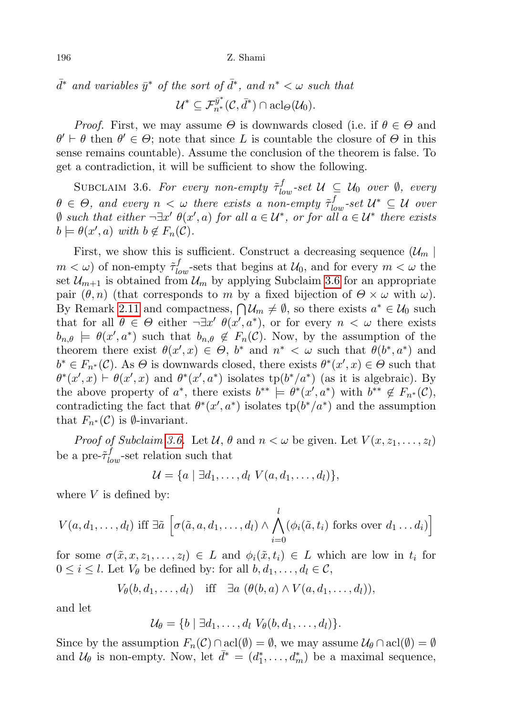$\bar{d}^*$  and variables  $\bar{y}^*$  of the sort of  $\bar{d}^*$ , and  $n^* < \omega$  such that  $\mathcal{U}^* \subseteq \mathcal{F}^{\bar{y}^*}_{n^*}(\mathcal{C}, \bar{d}^*) \cap \operatorname{acl}_\Theta(\mathcal{U}_0).$ 

*Proof.* First, we may assume  $\Theta$  is downwards closed (i.e. if  $\theta \in \Theta$  and  $\theta' \vdash \theta$  then  $\theta' \in \Theta$ ; note that since L is countable the closure of  $\Theta$  in this sense remains countable). Assume the conclusion of the theorem is false. To get a contradiction, it will be sufficient to show the following.

<span id="page-5-0"></span>SUBCLAIM 3.6. For every non-empty  $\tilde{\tau}_{low}^f$ -set  $\mathcal{U} \subseteq \mathcal{U}_0$  over  $\emptyset$ , every  $\theta \in \Theta$ , and every  $n < \omega$  there exists a non-empty  $\tilde{\tau}_{low}^f$ -set  $\mathcal{U}^* \subseteq \mathcal{U}$  over  $\emptyset$  such that either  $\neg \exists x' \theta(x', a)$  for all  $a \in \mathcal{U}^*$ , or for all  $a \in \mathcal{U}^*$  there exists  $b \models \theta(x', a) \text{ with } b \notin F_n(\mathcal{C}).$ 

First, we show this is sufficient. Construct a decreasing sequence  $(\mathcal{U}_m \mid$  $m < \omega$ ) of non-empty  $\tilde{\tau}_{low}^f$ -sets that begins at  $\mathcal{U}_0$ , and for every  $m < \omega$  the set  $\mathcal{U}_{m+1}$  is obtained from  $\mathcal{U}_m$  by applying Subclaim [3.6](#page-5-0) for an appropriate pair  $(\theta, n)$  (that corresponds to m by a fixed bijection of  $\Theta \times \omega$  with  $\omega$ ). By Remark [2.11](#page-3-0) and compactness,  $\bigcap \mathcal{U}_m \neq \emptyset$ , so there exists  $a^* \in \mathcal{U}_0$  such that for all  $\theta \in \Theta$  either  $\neg \exists x' \; \theta(x', a^*)$ , or for every  $n < \omega$  there exists  $b_{n,\theta} \models \theta(x', a^*)$  such that  $b_{n,\theta} \notin F_n(\mathcal{C})$ . Now, by the assumption of the theorem there exist  $\theta(x',x) \in \Theta$ ,  $b^*$  and  $n^* < \omega$  such that  $\theta(b^*, a^*)$  and  $b^* \in F_{n^*}(\mathcal{C})$ . As  $\Theta$  is downwards closed, there exists  $\theta^*(x', x) \in \Theta$  such that  $\theta^*(x',x) \vdash \theta(x',x)$  and  $\theta^*(x',a^*)$  isolates tp $(b^*/a^*)$  (as it is algebraic). By the above property of  $a^*$ , there exists  $b^{**} \models \theta^*(x', a^*)$  with  $b^{**} \notin F_{n^*}(\mathcal{C})$ , contradicting the fact that  $\theta^*(x', a^*)$  isolates  $tp(b^*/a^*)$  and the assumption that  $F_{n^*}(\mathcal{C})$  is  $\emptyset$ -invariant.

*Proof of Subclaim [3.6.](#page-5-0)* Let  $\mathcal{U}, \theta$  and  $n < \omega$  be given. Let  $V(x, z_1, \ldots, z_l)$ be a pre- $\tilde{\tau}_{low}^f$ -set relation such that

$$
\mathcal{U} = \{a \mid \exists d_1, \ldots, d_l \ V(a, d_1, \ldots, d_l)\},
$$

where  $V$  is defined by:

$$
V(a, d_1, \ldots, d_l) \text{ iff } \exists \tilde{a} \left[ \sigma(\tilde{a}, a, d_1, \ldots, d_l) \wedge \bigwedge_{i=0}^l (\phi_i(\tilde{a}, t_i) \text{ forks over } d_1 \ldots d_i) \right]
$$

for some  $\sigma(\tilde{x}, x, z_1, \ldots, z_l) \in L$  and  $\phi_i(\tilde{x}, t_i) \in L$  which are low in  $t_i$  for  $0 \leq i \leq l$ . Let  $V_{\theta}$  be defined by: for all  $b, d_1, \ldots, d_l \in \mathcal{C}$ ,

$$
V_{\theta}(b, d_1, \ldots, d_l) \quad \text{iff} \quad \exists a \ (\theta(b, a) \wedge V(a, d_1, \ldots, d_l)),
$$

and let

$$
\mathcal{U}_{\theta} = \{b \mid \exists d_1, \ldots, d_l \; V_{\theta}(b, d_1, \ldots, d_l)\}.
$$

Since by the assumption  $F_n(\mathcal{C}) \cap \text{acl}(\emptyset) = \emptyset$ , we may assume  $\mathcal{U}_\theta \cap \text{acl}(\emptyset) = \emptyset$ and  $\mathcal{U}_{\theta}$  is non-empty. Now, let  $\bar{d}^* = (d_1^*, \ldots, d_m^*)$  be a maximal sequence,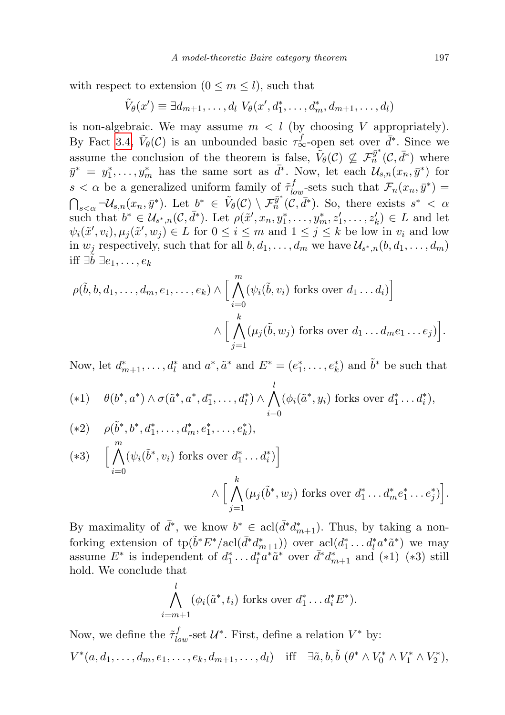with respect to extension  $(0 \le m \le l)$ , such that

$$
\tilde{V}_{\theta}(x') \equiv \exists d_{m+1}, \ldots, d_l \; V_{\theta}(x', d_1^*, \ldots, d_m^*, d_{m+1}, \ldots, d_l)
$$

is non-algebraic. We may assume  $m < l$  (by choosing V appropriately). By Fact [3.4,](#page-4-0)  $\tilde{V}_{\theta}(\mathcal{C})$  is an unbounded basic  $\tau_{\infty}^f$ -open set over  $\bar{d}^*$ . Since we assume the conclusion of the theorem is false,  $\tilde{V}_{\theta}(\mathcal{C}) \nsubseteq \mathcal{F}_{n}^{\bar{y}^*}(\mathcal{C}, \bar{d}^*)$  where  $\bar{y}^* = y_1^*, \ldots, y_m^*$  has the same sort as  $\bar{d}^*$ . Now, let each  $\mathcal{U}_{s,n}(x_n, \bar{y}^*)$  for  $s < \alpha$  be a generalized uniform family of  $\tilde{\tau}_{low}^f$ -sets such that  $\mathcal{F}_n(x_n, \bar{y}^*) =$  $\bigcap_{s\leq \alpha}\neg \mathcal{U}_{s,n}(x_n,\bar{y}^*)$ . Let  $b^*\in \tilde{V}_\theta(\mathcal{C})\setminus \mathcal{F}_n^{\bar{y}^*}(\tilde{\mathcal{C}},\bar{d}^*)$ . So, there exists  $s^*<\alpha$ such that  $b^* \in \mathcal{U}_{s^*,n}(\mathcal{C}, \bar{d}^*)$ . Let  $\rho(\tilde{x}', x_n, y_1^*, \ldots, y_m^*, z_1', \ldots, z_k') \in L$  and let  $\psi_i(\tilde{x}', v_i), \mu_j(\tilde{x}', w_j) \in L$  for  $0 \leq i \leq m$  and  $1 \leq j \leq k$  be low in  $v_i$  and low in  $w_j$  respectively, such that for all  $b, d_1, \ldots, d_m$  we have  $\mathcal{U}_{s^*,n}(b, d_1, \ldots, d_m)$ iff  $∃b ∃e<sub>1</sub>, ..., e<sub>k</sub>$ 

$$
\rho(\tilde{b}, b, d_1, \ldots, d_m, e_1, \ldots, e_k) \wedge \Big[ \bigwedge_{i=0}^m (\psi_i(\tilde{b}, v_i) \text{ forks over } d_1 \ldots d_i) \Big] \newline \wedge \Big[ \bigwedge_{j=1}^k (\mu_j(\tilde{b}, w_j) \text{ forks over } d_1 \ldots d_m e_1 \ldots e_j) \Big].
$$

Now, let  $d_{m+1}^*, \ldots, d_l^*$  and  $a^*, \tilde{a}^*$  and  $E^* = (e_1^*, \ldots, e_k^*)$  and  $\tilde{b}^*$  be such that

$$
(*1) \quad \theta(b^*,a^*) \wedge \sigma(\tilde{a}^*,a^*,d_1^*,\ldots,d_l^*) \wedge \bigwedge_{i=0}^l (\phi_i(\tilde{a}^*,y_i) \text{ forks over } d_1^*,\ldots d_i^*),
$$

$$
(*2) \quad \rho(\tilde{b}^*, b^*, d_1^*, \dots, d_m^*, e_1^*, \dots, e_k^*),
$$
  
\n
$$
(*3) \quad \Big[ \bigwedge_{i=0}^m (\psi_i(\tilde{b}^*, v_i) \text{ forks over } d_1^* \dots d_i^*) \Big] \newline \wedge \Big[ \bigwedge_{j=1}^k (\mu_j(\tilde{b}^*, w_j) \text{ forks over } d_1^* \dots d_m^* e_1^* \dots e_j^*) \Big].
$$

By maximality of  $\bar{d}^*$ , we know  $b^* \in \text{acl}(\bar{d}^*d^*_{m+1})$ . Thus, by taking a nonforking extension of  $\text{tp}(\tilde{b}^*E^*/\text{acl}(\bar{d}^*d_{m+1}^*))$  over  $\text{acl}(d_1^*\dots d_l^*a^*\tilde{a}^*)$  we may assume  $E^*$  is independent of  $d_1^* \dots d_l^* a^* a^*$  over  $\bar{d}^* d_{m+1}^*$  and  $(*1)$ – $(*3)$  still hold. We conclude that

$$
\bigwedge_{i=m+1}^{l} (\phi_i(\tilde{a}^*, t_i) \text{ forks over } d_1^* \dots d_i^* E^*).
$$

Now, we define the  $\tilde{\tau}_{low}^f$ -set  $\mathcal{U}^*$ . First, define a relation  $V^*$  by:  $V^*(a, d_1, \ldots, d_m, e_1, \ldots, e_k, d_{m+1}, \ldots, d_l)$  iff  $\exists \tilde{a}, b, \tilde{b}$   $(\theta^* \wedge V_0^* \wedge V_1^* \wedge V_2^*),$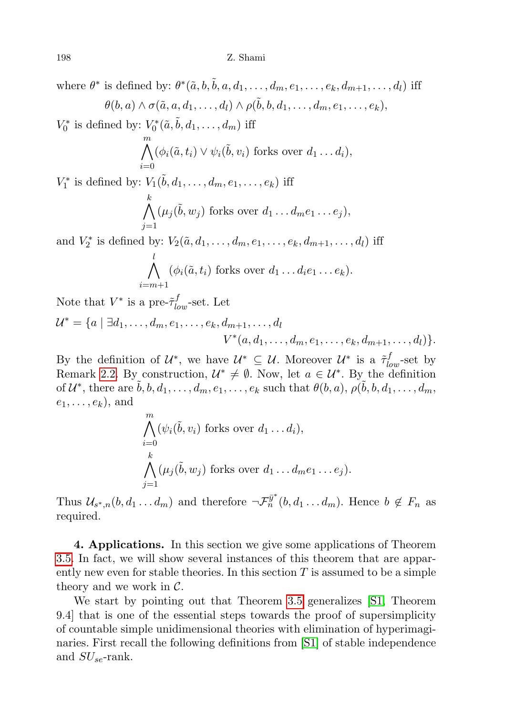where  $\theta^*$  is defined by:  $\theta^*(\tilde{a}, b, \tilde{b}, a, d_1, \ldots, d_m, e_1, \ldots, e_k, d_{m+1}, \ldots, d_l)$  iff  $\theta(b,a) \wedge \sigma(\tilde{a},a,d_1,\ldots,d_l) \wedge \rho(\tilde{b},b,d_1,\ldots,d_m,e_1,\ldots,e_k),$ 

 $V_0^*$  is defined by:  $V_0^*(\tilde{a}, \tilde{b}, d_1, \ldots, d_m)$  iff

$$
\bigwedge_{i=0}^{m} (\phi_i(\tilde{a}, t_i) \vee \psi_i(\tilde{b}, v_i) \text{ forks over } d_1 \dots d_i),
$$

 $V_1^*$  is defined by:  $V_1(\tilde{b}, d_1, \ldots, d_m, e_1, \ldots, e_k)$  iff

$$
\bigwedge_{j=1}^k (\mu_j(\tilde{b}, w_j) \text{ forks over } d_1 \dots d_m e_1 \dots e_j),
$$

and  $V_2^*$  is defined by:  $V_2(\tilde{a}, d_1, ..., d_m, e_1, ..., e_k, d_{m+1}, ..., d_l)$  iff l

$$
\bigwedge_{i=m+1} (\phi_i(\tilde{a}, t_i) \text{ forks over } d_1 \dots d_i e_1 \dots e_k).
$$

Note that  $V^*$  is a pre- $\tilde{\tau}_{low}^f$ -set. Let

 $\overline{m}$ 

$$
\mathcal{U}^* = \{a \mid \exists d_1, \ldots, d_m, e_1, \ldots, e_k, d_{m+1}, \ldots, d_l
$$
  

$$
V^*(a, d_1, \ldots, d_m, e_1, \ldots, e_k, d_{m+1}, \ldots, d_l)\}.
$$

By the definition of  $\mathcal{U}^*$ , we have  $\mathcal{U}^* \subseteq \mathcal{U}$ . Moreover  $\mathcal{U}^*$  is a  $\tilde{\tau}_{low}^f$ -set by Remark [2.2.](#page-1-1) By construction,  $\mathcal{U}^* \neq \emptyset$ . Now, let  $a \in \mathcal{U}^*$ . By the definition of  $\mathcal{U}^*$ , there are  $\tilde{b}, b, d_1, \ldots, d_m, e_1, \ldots, e_k$  such that  $\theta(b, a), \rho(\tilde{b}, b, d_1, \ldots, d_m,$  $e_1, \ldots, e_k$ , and

$$
\bigwedge_{i=0}^{N} (\psi_i(\tilde{b}, v_i) \text{ forks over } d_1 \dots d_i),
$$
\n
$$
\bigwedge_{j=1}^{k} (\mu_j(\tilde{b}, w_j) \text{ forks over } d_1 \dots d_m e_1 \dots e_j).
$$

Thus  $\mathcal{U}_{s^*,n}(b,d_1...d_m)$  and therefore  $\neg \mathcal{F}_n^{\bar{y}^*}(b,d_1...d_m)$ . Hence  $b \notin F_n$  as required.

4. Applications. In this section we give some applications of Theorem [3.5.](#page-4-1) In fact, we will show several instances of this theorem that are apparently new even for stable theories. In this section  $T$  is assumed to be a simple theory and we work in  $\mathcal{C}$ .

We start by pointing out that Theorem [3.5](#page-4-1) generalizes [\[S1,](#page-14-0) Theorem 9.4] that is one of the essential steps towards the proof of supersimplicity of countable simple unidimensional theories with elimination of hyperimaginaries. First recall the following definitions from [\[S1\]](#page-14-0) of stable independence and  $SU_{se}$ -rank.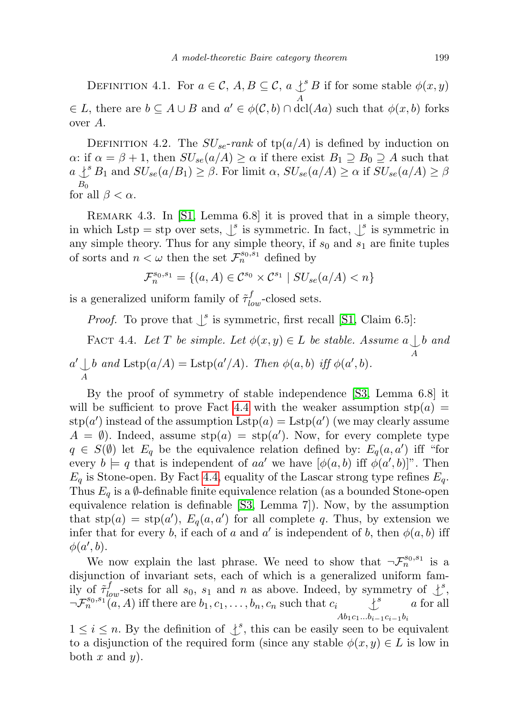DEFINITION 4.1. For  $a \in \mathcal{C}$ ,  $A, B \subseteq \mathcal{C}$ ,  $a \downarrow^s B$  if for some stable  $\phi(x, y)$ A  $\in L$ , there are  $b \subseteq A \cup B$  and  $a' \in \phi(C, b) \cap \text{dcl}(Aa)$  such that  $\phi(x, b)$  forks over A.

DEFINITION 4.2. The  $SU_{se}$ -rank of tp( $a/A$ ) is defined by induction on α: if  $\alpha = \beta + 1$ , then  $SU_{se}(a/A) \ge \alpha$  if there exist  $B_1 \supseteq B_0 \supseteq A$  such that  $a \perp^s B_1$  and  $SU_{se}(a/B_1) \geq \beta$ . For limit  $\alpha$ ,  $SU_{se}(a/A) \geq \alpha$  if  $SU_{se}(a/A) \geq \beta$  $B_0$ for all  $\beta < \alpha$ .

<span id="page-8-1"></span>REMARK 4.3. In [\[S1,](#page-14-0) Lemma 6.8] it is proved that in a simple theory, in which Lstp = stp over sets,  $\int_s^s$  is symmetric. In fact,  $\int_s^s$  is symmetric in any simple theory. Thus for any simple theory, if  $s_0$  and  $s_1$  are finite tuples of sorts and  $n < \omega$  then the set  $\mathcal{F}_n^{s_0, \tilde{s}_1}$  defined by

$$
\mathcal{F}_n^{s_0, s_1} = \{(a, A) \in \mathcal{C}^{s_0} \times \mathcal{C}^{s_1} \mid SU_{se}(a/A) < n\}
$$

is a generalized uniform family of  $\tilde{\tau}^f_{low}$ -closed sets.

*Proof.* To prove that  $\int^s$  is symmetric, first recall [\[S1,](#page-14-0) Claim 6.5]:

<span id="page-8-0"></span>FACT 4.4. Let T be simple. Let  $\phi(x, y) \in L$  be stable. Assume  $a \bigcup b$  and A  $a' \downarrow$ <sub>A</sub> b and  $\text{Lstp}(a/A) = \text{Lstp}(a'/A)$ . Then  $\phi(a, b)$  iff  $\phi(a', b)$ .

By the proof of symmetry of stable independence [\[S3,](#page-15-2) Lemma 6.8] it will be sufficient to prove Fact [4.4](#page-8-0) with the weaker assumption  $\text{stp}(a) =$  $\text{stp}(a')$  instead of the assumption  $\text{Lstp}(a) = \text{Lstp}(a')$  (we may clearly assume  $A = \emptyset$ . Indeed, assume  $\text{stp}(a) = \text{stp}(a')$ . Now, for every complete type  $q \in S(\emptyset)$  let  $E_q$  be the equivalence relation defined by:  $E_q(a, a')$  iff "for every  $b \models q$  that is independent of aa' we have  $[\phi(a, b)$  iff  $\phi(a', b)]$ ". Then  $E_q$  is Stone-open. By Fact [4.4,](#page-8-0) equality of the Lascar strong type refines  $E_q$ . Thus  $E_q$  is a  $\emptyset$ -definable finite equivalence relation (as a bounded Stone-open equivalence relation is definable [\[S3,](#page-15-2) Lemma 7]). Now, by the assumption that  $\text{stp}(a) = \text{stp}(a'), E_q(a, a')$  for all complete q. Thus, by extension we infer that for every b, if each of a and a' is independent of b, then  $\phi(a, b)$  iff  $\phi(a',b)$ .

We now explain the last phrase. We need to show that  $\neg \mathcal{F}_n^{s_0,s_1}$  is a disjunction of invariant sets, each of which is a generalized uniform family of  $\tilde{\tau}_{low}^f$ -sets for all  $s_0$ ,  $s_1$  and n as above. Indeed, by symmetry of  $\downarrow^s$ ,  $\neg \mathcal{F}_n^{s_0, s_1}$  (a, A) iff there are  $b_1, c_1, \ldots, b_n, c_n$  such that  $c_i$  $\cdot$ <sup>s</sup>  $Ab_1c_1...b_{i-1}c_{i-1}b_i$ a for all

 $1 \leq i \leq n$ . By the definition of  $\downarrow^s$ , this can be easily seen to be equivalent to a disjunction of the required form (since any stable  $\phi(x, y) \in L$  is low in both x and  $y$ ).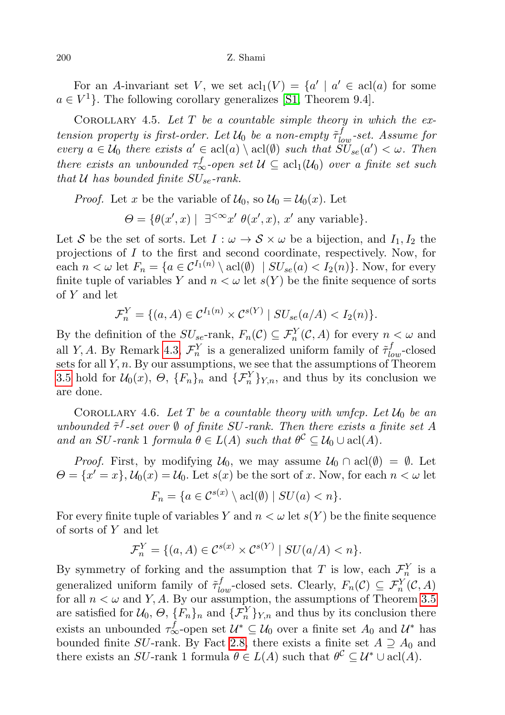For an A-invariant set V, we set  $\operatorname{acl}_1(V) = \{a' \mid a' \in \operatorname{acl}(a) \text{ for some }$  $a \in V^1$ . The following corollary generalizes [\[S1,](#page-14-0) Theorem 9.4].

COROLLARY 4.5. Let  $T$  be a countable simple theory in which the extension property is first-order. Let  $\mathcal{U}_0$  be a non-empty  $\tilde{\tau}_{low}^f$ -set. Assume for every  $a \in \mathcal{U}_0$  there exists  $a' \in \text{acl}(a) \setminus \text{acl}(\emptyset)$  such that  $\widetilde{SU}_{se}(a') < \omega$ . Then there exists an unbounded  $\tau_{\infty}^f$ -open set  $\mathcal{U} \subseteq \operatorname{acl}_1(\mathcal{U}_0)$  over a finite set such that  $U$  has bounded finite  $SU_{se}$ -rank.

*Proof.* Let x be the variable of  $U_0$ , so  $U_0 = U_0(x)$ . Let

 $\Theta = \{ \theta(x', x) \mid \exists^{\leq \infty} x' \theta(x', x), x' \text{ any variable} \}.$ 

Let S be the set of sorts. Let  $I : \omega \to S \times \omega$  be a bijection, and  $I_1, I_2$  the projections of I to the first and second coordinate, respectively. Now, for each  $n < \omega$  let  $F_n = \{a \in C^{I_1(n)} \setminus \text{acl}(\emptyset) \mid SU_{se}(a) < I_2(n)\}\)$ . Now, for every finite tuple of variables Y and  $n < \omega$  let  $s(Y)$  be the finite sequence of sorts of Y and let

$$
\mathcal{F}_n^Y = \{ (a, A) \in \mathcal{C}^{I_1(n)} \times \mathcal{C}^{s(Y)} \mid SU_{se}(a/A) < I_2(n) \}.
$$

By the definition of the  $SU_{se}$ -rank,  $F_n(\mathcal{C}) \subseteq \mathcal{F}_n^Y(\mathcal{C}, A)$  for every  $n < \omega$  and all Y, A. By Remark [4.3,](#page-8-1)  $\mathcal{F}_n^Y$  is a generalized uniform family of  $\tilde{\tau}_{low}^f$ -closed sets for all  $Y$ ,  $n$ . By our assumptions, we see that the assumptions of Theorem [3.5](#page-4-1) hold for  $\mathcal{U}_0(x)$ ,  $\Theta$ ,  $\{F_n\}_n$  and  $\{\mathcal{F}_n^Y\}_{Y,n}$ , and thus by its conclusion we are done.

<span id="page-9-0"></span>COROLLARY 4.6. Let T be a countable theory with wnfcp. Let  $\mathcal{U}_0$  be an unbounded  $\tilde{\tau}^f$ -set over  $\emptyset$  of finite SU-rank. Then there exists a finite set A and an SU-rank 1 formula  $\theta \in L(A)$  such that  $\theta^{\mathcal{C}} \subseteq \mathcal{U}_0 \cup \text{acl}(A)$ .

*Proof.* First, by modifying  $U_0$ , we may assume  $U_0 \cap \text{acl}(\emptyset) = \emptyset$ . Let  $\Theta = \{x' = x\}, \mathcal{U}_0(x) = \mathcal{U}_0.$  Let  $s(x)$  be the sort of x. Now, for each  $n < \omega$  let

$$
F_n = \{ a \in C^{s(x)} \setminus \operatorname{acl}(\emptyset) \mid SU(a) < n \}.
$$

For every finite tuple of variables Y and  $n < \omega$  let  $s(Y)$  be the finite sequence of sorts of Y and let

$$
\mathcal{F}_n^Y = \{ (a, A) \in \mathcal{C}^{s(x)} \times \mathcal{C}^{s(Y)} \mid SU(a/A) < n \}.
$$

By symmetry of forking and the assumption that T is low, each  $\mathcal{F}_n^Y$  is a generalized uniform family of  $\tilde{\tau}_{low}^f$ -closed sets. Clearly,  $F_n(\mathcal{C}) \subseteq \mathcal{F}_n^Y(\mathcal{C}, A)$ for all  $n < \omega$  and Y, A. By our assumption, the assumptions of Theorem [3.5](#page-4-1) are satisfied for  $\mathcal{U}_0$ ,  $\Theta$ ,  $\{F_n\}_n$  and  $\{\mathcal{F}_n^Y\}_{Y,n}$  and thus by its conclusion there exists an unbounded  $\tau_{\infty}^f$ -open set  $\mathcal{U}^* \subseteq \mathcal{U}_0$  over a finite set  $A_0$  and  $\mathcal{U}^*$  has bounded finite SU-rank. By Fact [2.8,](#page-3-1) there exists a finite set  $A \supseteq A_0$  and there exists an SU-rank 1 formula  $\theta \in L(A)$  such that  $\theta^{\mathcal{C}} \subseteq \mathcal{U}^* \cup \text{acl}(A)$ .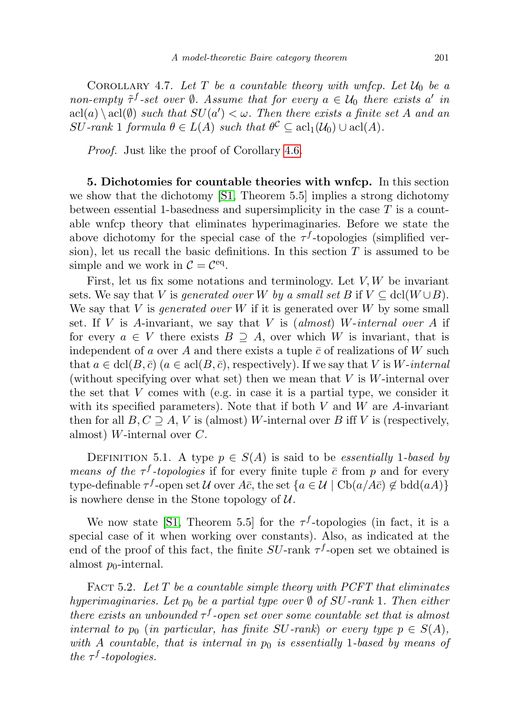COROLLARY 4.7. Let T be a countable theory with wnfcp. Let  $\mathcal{U}_0$  be a non-empty  $\tilde{\tau}^f$ -set over  $\emptyset$ . Assume that for every  $a \in \mathcal{U}_0$  there exists a' in  $\text{acl}(a) \setminus \text{acl}(\emptyset)$  such that  $SU(a') < \omega$ . Then there exists a finite set A and an  $SU\text{-}rank\ 1 \text{ formula }\theta\in L(A) \text{ such that } \theta^{\mathcal{C}}\subseteq \text{acl}(U_0)\cup \text{acl}(A).$ 

Proof. Just like the proof of Corollary [4.6.](#page-9-0)

5. Dichotomies for countable theories with wnfcp. In this section we show that the dichotomy [\[S1,](#page-14-0) Theorem 5.5] implies a strong dichotomy between essential 1-basedness and supersimplicity in the case  $T$  is a countable wnfcp theory that eliminates hyperimaginaries. Before we state the above dichotomy for the special case of the  $\tau^f$ -topologies (simplified version), let us recall the basic definitions. In this section  $T$  is assumed to be simple and we work in  $C = C<sup>eq</sup>$ .

First, let us fix some notations and terminology. Let  $V, W$  be invariant sets. We say that V is generated over W by a small set B if  $V \subseteq \text{dcl}(W \cup B)$ . We say that V is *generated over* W if it is generated over W by some small set. If V is A-invariant, we say that V is (almost) W-internal over A if for every  $a \in V$  there exists  $B \supseteq A$ , over which W is invariant, that is independent of a over A and there exists a tuple  $\bar{c}$  of realizations of W such that  $a \in \text{dcl}(B, \overline{c})$  ( $a \in \text{acl}(B, \overline{c})$ , respectively). If we say that V is W-internal (without specifying over what set) then we mean that  $V$  is  $W$ -internal over the set that  $V$  comes with (e.g. in case it is a partial type, we consider it with its specified parameters). Note that if both  $V$  and  $W$  are  $A$ -invariant then for all  $B, C \supseteq A$ , V is (almost) W-internal over B iff V is (respectively, almost) *W*-internal over  $C$ .

DEFINITION 5.1. A type  $p \in S(A)$  is said to be *essentially* 1-based by *means of the*  $\tau^f$ -topologies if for every finite tuple  $\bar{c}$  from p and for every type-definable  $\tau^f$ -open set U over  $A\bar{c}$ , the set  $\{a \in \mathcal{U} \mid \text{Cb}(a/A\bar{c}) \notin \text{bdd}(aA)\}\$ is nowhere dense in the Stone topology of  $U$ .

We now state [\[S1,](#page-14-0) Theorem 5.5] for the  $\tau^f$ -topologies (in fact, it is a special case of it when working over constants). Also, as indicated at the end of the proof of this fact, the finite  $SU$ -rank  $\tau$ -open set we obtained is almost  $p_0$ -internal.

<span id="page-10-0"></span>FACT 5.2. Let T be a countable simple theory with PCFT that eliminates hyperimaginaries. Let  $p_0$  be a partial type over  $\emptyset$  of SU-rank 1. Then either there exists an unbounded  $\tau^f$ -open set over some countable set that is almost internal to  $p_0$  (in particular, has finite SU-rank) or every type  $p \in S(A)$ , with A countable, that is internal in  $p_0$  is essentially 1-based by means of the  $\tau^f$ -topologies.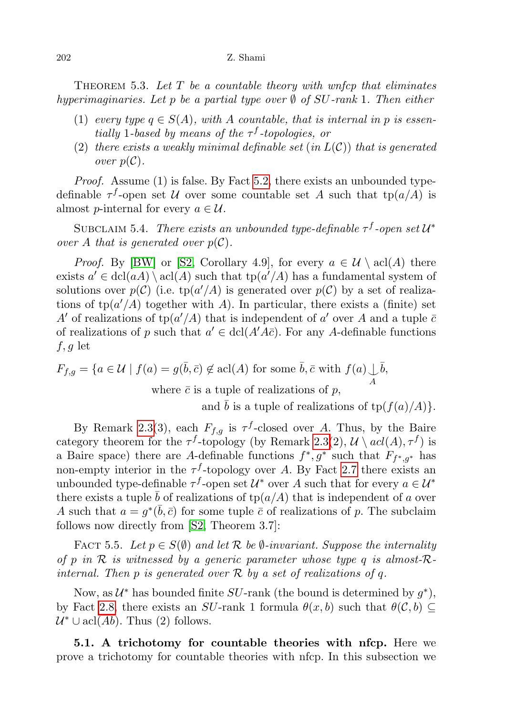#### 202 Z. Shami

<span id="page-11-0"></span>THEOREM 5.3. Let  $T$  be a countable theory with wnfcp that eliminates hyperimaginaries. Let p be a partial type over  $\emptyset$  of SU-rank 1. Then either

- (1) every type  $q \in S(A)$ , with A countable, that is internal in p is essentially 1-based by means of the  $\tau^f$ -topologies, or
- (2) there exists a weakly minimal definable set  $(in L(C))$  that is generated over  $p(\mathcal{C})$ .

Proof. Assume (1) is false. By Fact [5.2,](#page-10-0) there exists an unbounded typedefinable  $\tau^f$ -open set U over some countable set A such that  $tp(a/A)$  is almost *p*-internal for every  $a \in \mathcal{U}$ .

SUBCLAIM 5.4. There exists an unbounded type-definable  $\tau^f$ -open set  $\mathcal{U}^*$ over A that is generated over  $p(\mathcal{C})$ .

*Proof.* By [\[BW\]](#page-14-5) or [\[S2,](#page-15-3) Corollary 4.9], for every  $a \in \mathcal{U} \setminus \text{acl}(A)$  there exists  $a' \in \text{dcl}(aA) \setminus \text{acl}(A)$  such that  $\text{tp}(a'/A)$  has a fundamental system of solutions over  $p(\mathcal{C})$  (i.e. tp $(a'/A)$  is generated over  $p(\mathcal{C})$  by a set of realizations of  $tp(a'/A)$  together with A). In particular, there exists a (finite) set A' of realizations of  $tp(a'/A)$  that is independent of a' over A and a tuple  $\bar{c}$ of realizations of p such that  $a' \in \text{dcl}(A'A\overline{c})$ . For any A-definable functions  $f, g$  let

$$
F_{f,g} = \{ a \in \mathcal{U} \mid f(a) = g(\bar{b}, \bar{c}) \notin \text{acl}(A) \text{ for some } \bar{b}, \bar{c} \text{ with } f(a) \downarrow \bar{b},
$$
  
where  $\bar{c}$  is a tuple of realizations of  $p$ ,

and  $\bar{b}$  is a tuple of realizations of tp( $f(a)/A$ ).

By Remark [2.3\(](#page-2-0)3), each  $F_{f,g}$  is  $\tau^f$ -closed over A. Thus, by the Baire category theorem for the  $\tau^f$ -topology (by Remark [2.3\(](#page-2-0)2),  $\mathcal{U} \setminus \text{acl}(A), \tau^f$ ) is a Baire space) there are A-definable functions  $f^*, g^*$  such that  $F_{f^*, g^*}$  has non-empty interior in the  $\tau^f$ -topology over A. By Fact [2.7](#page-2-1) there exists an unbounded type-definable  $\tau^f$ -open set  $\mathcal{U}^*$  over A such that for every  $a \in \mathcal{U}^*$ there exists a tuple b of realizations of  $\text{tp}(a/A)$  that is independent of a over A such that  $a = g^*(\bar{b}, \bar{c})$  for some tuple  $\bar{c}$  of realizations of p. The subclaim follows now directly from [\[S2,](#page-15-3) Theorem 3.7]:

FACT 5.5. Let  $p \in S(\emptyset)$  and let R be  $\emptyset$ -invariant. Suppose the internality of p in  $R$  is witnessed by a generic parameter whose type q is almost- $R$ internal. Then p is generated over  $R$  by a set of realizations of q.

Now, as  $\mathcal{U}^*$  has bounded finite SU-rank (the bound is determined by  $g^*$ ), by Fact [2.8,](#page-3-1) there exists an SU-rank 1 formula  $\theta(x, b)$  such that  $\theta(C, b) \subseteq$  $\mathcal{U}^* \cup \text{acl}(Ab)$ . Thus (2) follows.

5.1. A trichotomy for countable theories with nfcp. Here we prove a trichotomy for countable theories with nfcp. In this subsection we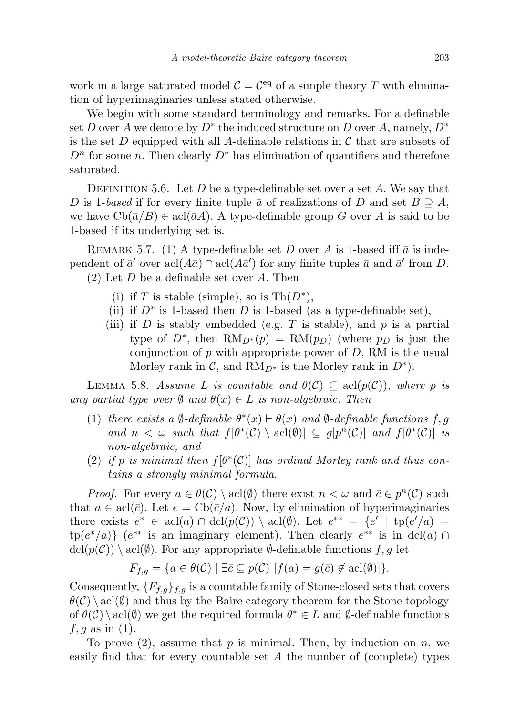work in a large saturated model  $C = C<sup>eq</sup>$  of a simple theory T with elimination of hyperimaginaries unless stated otherwise.

We begin with some standard terminology and remarks. For a definable set D over A we denote by  $D^*$  the induced structure on D over A, namely,  $D^*$ is the set D equipped with all A-definable relations in C that are subsets of  $D<sup>n</sup>$  for some n. Then clearly  $D^*$  has elimination of quantifiers and therefore saturated.

DEFINITION 5.6. Let D be a type-definable set over a set A. We say that D is 1-based if for every finite tuple  $\bar{a}$  of realizations of D and set  $B \supseteq A$ , we have  $Cb(\bar{a}/B) \in \text{acl}(\bar{a}A)$ . A type-definable group G over A is said to be 1-based if its underlying set is.

<span id="page-12-1"></span>REMARK 5.7. (1) A type-definable set D over A is 1-based iff  $\bar{a}$  is independent of  $\bar{a}'$  over  $\operatorname{acl}(A\bar{a}) \cap \operatorname{acl}(A\bar{a}')$  for any finite tuples  $\bar{a}$  and  $\bar{a}'$  from D.  $(2)$  Let D be a definable set over A. Then

- (i) if T is stable (simple), so is  $\text{Th}(D^*),$
- (ii) if  $D^*$  is 1-based then D is 1-based (as a type-definable set),
- (iii) if D is stably embedded (e.g. T is stable), and p is a partial type of  $D^*$ , then  $\text{RM}_{D^*}(p) = \text{RM}(p_D)$  (where  $p_D$  is just the conjunction of  $p$  with appropriate power of  $D$ , RM is the usual Morley rank in  $C$ , and  $RM_{D^*}$  is the Morley rank in  $D^*$ ).

<span id="page-12-0"></span>LEMMA 5.8. Assume L is countable and  $\theta(\mathcal{C}) \subseteq \text{acl}(p(\mathcal{C}))$ , where p is any partial type over  $\emptyset$  and  $\theta(x) \in L$  is non-algebraic. Then

- (1) there exists a  $\emptyset$ -definable  $\theta^*(x) \vdash \theta(x)$  and  $\emptyset$ -definable functions f, g and  $n < \omega$  such that  $f[\theta^*(\mathcal{C}) \setminus \text{acl}(\emptyset)] \subseteq g[p^n(\mathcal{C})]$  and  $f[\theta^*(\mathcal{C})]$  is non-algebraic, and
- (2) if p is minimal then  $f[\theta^*(\mathcal{C})]$  has ordinal Morley rank and thus contains a strongly minimal formula.

*Proof.* For every  $a \in \theta(\mathcal{C}) \setminus \text{acl}(\emptyset)$  there exist  $n < \omega$  and  $\overline{c} \in p^{n}(\mathcal{C})$  such that  $a \in \text{acl}(\bar{c})$ . Let  $e = \text{Cb}(\bar{c}/a)$ . Now, by elimination of hyperimaginaries there exists  $e^* \in \text{acl}(a) \cap \text{dcl}(p(\mathcal{C})) \setminus \text{acl}(\emptyset)$ . Let  $e^{**} = \{e' \mid \text{tp}(e'/a) =$  $\text{tp}(e^*/a)$   $\}$  ( $e^{**}$  is an imaginary element). Then clearly  $e^{**}$  is in dcl(a)  $\cap$  $\text{dcl}(p(\mathcal{C})) \setminus \text{acl}(\emptyset)$ . For any appropriate  $\emptyset$ -definable functions  $f, g$  let

$$
F_{f,g} = \{ a \in \theta(\mathcal{C}) \mid \exists \bar{c} \subseteq p(\mathcal{C}) \; [f(a) = g(\bar{c}) \notin \operatorname{acl}(\emptyset)] \}.
$$

Consequently,  ${F_{f,g}}_{f,g}$  is a countable family of Stone-closed sets that covers  $\theta(\mathcal{C}) \setminus \text{acl}(\emptyset)$  and thus by the Baire category theorem for the Stone topology of  $\theta(\mathcal{C}) \setminus \text{acl}(\emptyset)$  we get the required formula  $\theta^* \in L$  and  $\emptyset$ -definable functions  $f, g$  as in (1).

To prove  $(2)$ , assume that p is minimal. Then, by induction on n, we easily find that for every countable set  $A$  the number of (complete) types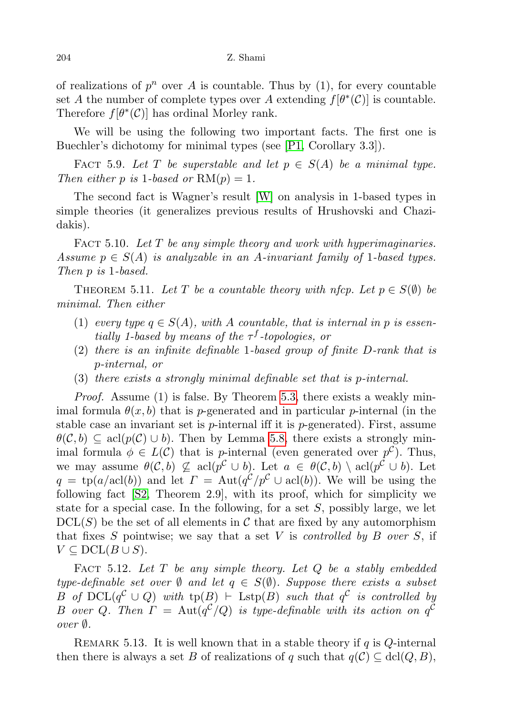of realizations of  $p^n$  over A is countable. Thus by  $(1)$ , for every countable set A the number of complete types over A extending  $f[\theta^*(\mathcal{C})]$  is countable. Therefore  $f[\theta^*(\mathcal{C})]$  has ordinal Morley rank.

We will be using the following two important facts. The first one is Buechler's dichotomy for minimal types (see [\[P1,](#page-14-6) Corollary 3.3]).

<span id="page-13-2"></span>FACT 5.9. Let T be superstable and let  $p \in S(A)$  be a minimal type. Then either p is 1-based or  $RM(p) = 1$ .

The second fact is Wagner's result [\[W\]](#page-15-0) on analysis in 1-based types in simple theories (it generalizes previous results of Hrushovski and Chazidakis).

<span id="page-13-3"></span>FACT 5.10. Let  $T$  be any simple theory and work with hyperimaginaries. Assume  $p \in S(A)$  is analyzable in an A-invariant family of 1-based types. Then p is 1-based.

THEOREM 5.11. Let T be a countable theory with nfcp. Let  $p \in S(\emptyset)$  be minimal. Then either

- (1) every type  $q \in S(A)$ , with A countable, that is internal in p is essentially 1-based by means of the  $\tau^f$ -topologies, or
- (2) there is an infinite definable 1-based group of finite D-rank that is p-internal, or
- (3) there exists a strongly minimal definable set that is p-internal.

Proof. Assume (1) is false. By Theorem [5.3,](#page-11-0) there exists a weakly minimal formula  $\theta(x, b)$  that is p-generated and in particular p-internal (in the stable case an invariant set is  $p$ -internal iff it is  $p$ -generated). First, assume  $\theta(\mathcal{C}, b) \subseteq \text{acl}(p(\mathcal{C}) \cup b)$ . Then by Lemma [5.8,](#page-12-0) there exists a strongly minimal formula  $\phi \in L(\mathcal{C})$  that is *p*-internal (even generated over  $p^{\mathcal{C}}$ ). Thus, we may assume  $\theta(\mathcal{C},b) \not\subseteq \text{acl}(p^{\mathcal{C}} \cup b)$ . Let  $a \in \theta(\mathcal{C},b) \setminus \text{acl}(p^{\mathcal{C}} \cup b)$ . Let  $q = \text{tp}(a/\text{acl}(b))$  and let  $\Gamma = \text{Aut}(q^{\mathcal{C}}/p^{\mathcal{C}} \cup \text{acl}(b))$ . We will be using the following fact [\[S2,](#page-15-3) Theorem 2.9], with its proof, which for simplicity we state for a special case. In the following, for a set  $S$ , possibly large, we let  $DCL(S)$  be the set of all elements in C that are fixed by any automorphism that fixes S pointwise; we say that a set V is *controlled by B over S*, if  $V \subseteq \mathrm{DCL}(B \cup S)$ .

<span id="page-13-0"></span>FACT 5.12. Let  $T$  be any simple theory. Let  $Q$  be a stably embedded type-definable set over  $\emptyset$  and let  $q \in S(\emptyset)$ . Suppose there exists a subset B of  $DCL(q^{\mathcal{C}} \cup Q)$  with  $tp(B) \vdash \text{Lstp}(B)$  such that  $q^{\mathcal{C}}$  is controlled by B over Q. Then  $\Gamma = \text{Aut}(q^{\mathcal{C}}/Q)$  is type-definable with its action on  $q^{\mathcal{C}}$ over ∅.

<span id="page-13-1"></span>REMARK 5.13. It is well known that in a stable theory if q is Q-internal then there is always a set B of realizations of q such that  $q(\mathcal{C}) \subseteq \text{dcl}(Q, B)$ ,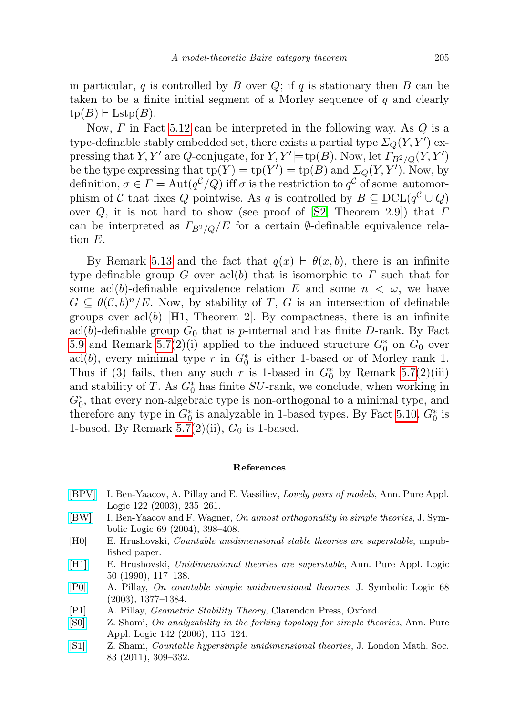in particular, q is controlled by B over  $Q$ ; if q is stationary then B can be taken to be a finite initial segment of a Morley sequence of q and clearly  $tp(B) \vdash \text{Lstp}(B).$ 

Now,  $\Gamma$  in Fact [5.12](#page-13-0) can be interpreted in the following way. As  $\overline{Q}$  is a type-definable stably embedded set, there exists a partial type  $\varSigma_Q(Y,Y')$  expressing that Y, Y' are Q-conjugate, for Y,  $Y'$  = tp(B). Now, let  $\overline{\Gamma_{B^2/Q}(Y,Y')}$ be the type expressing that  $tp(Y) = tp(Y') = tp(B)$  and  $\Sigma_Q(Y, Y')$ . Now, by definition,  $\sigma \in \Gamma = \text{Aut}(q^{\mathcal{C}}/Q)$  iff  $\sigma$  is the restriction to  $q^{\mathcal{C}}$  of some automorphism of C that fixes Q pointwise. As q is controlled by  $B \subseteq \text{DCL}(q^{\mathcal{C}} \cup Q)$ over Q, it is not hard to show (see proof of [\[S2,](#page-15-3) Theorem 2.9]) that  $\Gamma$ can be interpreted as  $\Gamma_{B^2/O}/E$  for a certain  $\emptyset$ -definable equivalence relation E.

By Remark [5.13](#page-13-1) and the fact that  $q(x) \vdash \theta(x, b)$ , there is an infinite type-definable group G over acl(b) that is isomorphic to  $\Gamma$  such that for some acl(b)-definable equivalence relation E and some  $n < \omega$ , we have  $G \subseteq \theta(\mathcal{C},b)^n / E$ . Now, by stability of T, G is an intersection of definable groups over acl(b) [H1, Theorem 2]. By compactness, there is an infinite acl(b)-definable group  $G_0$  that is p-internal and has finite D-rank. By Fact [5.9](#page-13-2) and Remark [5.7\(](#page-12-1)2)(i) applied to the induced structure  $G_0^*$  on  $G_0$  over acl(b), every minimal type r in  $G_0^*$  is either 1-based or of Morley rank 1. Thus if (3) fails, then any such r is 1-based in  $G_0^*$  by Remark [5.7\(](#page-12-1)2)(iii) and stability of T. As  $G_0^*$  has finite  $SU$ -rank, we conclude, when working in  $G_0^*$ , that every non-algebraic type is non-orthogonal to a minimal type, and therefore any type in  $G_0^*$  is analyzable in 1-based types. By Fact [5.10,](#page-13-3)  $G_0^*$  is 1-based. By Remark [5.7\(](#page-12-1)2)(ii),  $G_0$  is 1-based.

## References

- <span id="page-14-4"></span>[\[BPV\]](http://dx.doi.org/10.1016/S0168-0072(03)00018-6) I. Ben-Yaacov, A. Pillay and E. Vassiliev, Lovely pairs of models, Ann. Pure Appl. Logic 122 (2003), 235–261.
- <span id="page-14-5"></span>[\[BW\]](http://dx.doi.org/10.2178/jsl/1082418533) I. Ben-Yaacov and F. Wagner, On almost orthogonality in simple theories, J. Symbolic Logic 69 (2004), 398–408.
- <span id="page-14-2"></span>[H0] E. Hrushovski, Countable unidimensional stable theories are superstable, unpublished paper.
- [\[H1\]](http://dx.doi.org/10.1016/0168-0072(90)90046-5) E. Hrushovski, Unidimensional theories are superstable, Ann. Pure Appl. Logic 50 (1990), 117–138.
- <span id="page-14-3"></span>[\[P0\]](http://dx.doi.org/10.2178/jsl/1067620193) A. Pillay, On countable simple unidimensional theories, J. Symbolic Logic 68 (2003), 1377–1384.
- <span id="page-14-6"></span>[P1] A. Pillay, Geometric Stability Theory, Clarendon Press, Oxford.
- <span id="page-14-1"></span>[\[S0\]](http://dx.doi.org/10.1016/j.apal.2005.12.013) Z. Shami, On analyzability in the forking topology for simple theories, Ann. Pure Appl. Logic 142 (2006), 115–124.
- <span id="page-14-0"></span>[\[S1\]](http://dx.doi.org/10.1112/jlms/jdq068) Z. Shami, Countable hypersimple unidimensional theories, J. London Math. Soc. 83 (2011), 309–332.